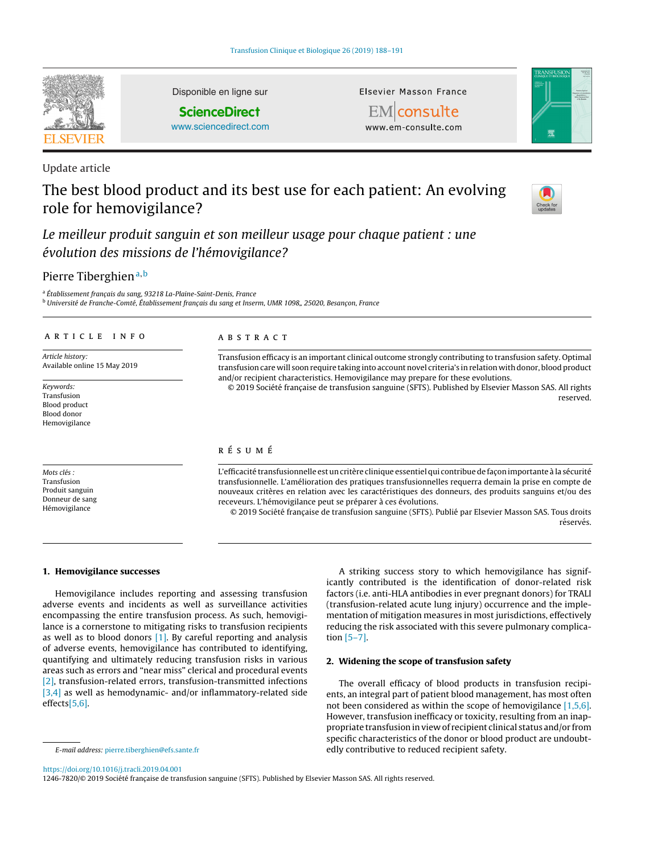

Disponible en ligne sur

**ScienceDirect**

[www.sciencedirect.com](http://www.sciencedirect.com/science/journal/12467820)

Update article

# The best blood product and its best use for each patient: An evolving role for hemovigilance?



Le meilleur produit sanguin et son meilleur usage pour chaque patient : une évolution des missions de l'hémovigilance?

# Pierre Tiberghien<sup>a,b</sup>

<sup>a</sup> Établissement français du sang, 93218 La-Plaine-Saint-Denis, France

<sup>b</sup> Université de Franche-Comté, Établissement français du sang et Inserm, UMR 1098,, 25020, Besançon, France

## a r t i c l e i n f o

Article history: Available online 15 May 2019

Keywords: Transfusion Blood product Blood donor Hemovigilance

Mots clés : Transfusion Produit sanguin Donneur de sang Hémovigilance

# A B S T R A C T

Transfusion efficacy is an important clinical outcome strongly contributing to transfusion safety. Optimal transfusion care will soon require taking into account novel criteria's in relation with donor, blood product and/or recipient characteristics. Hemovigilance may prepare for these evolutions.

Elsevier Masson France EMconsulte www.em-consulte.com

© 2019 Société française de transfusion sanguine (SFTS). Published by Elsevier Masson SAS. All rights reserved.

# r é s u m é

L'efficacité transfusionnelle est un critère clinique essentiel qui contribue de façon importante à la sécurité transfusionnelle. L'amélioration des pratiques transfusionnelles requerra demain la prise en compte de nouveaux critères en relation avec les caractéristiques des donneurs, des produits sanguins et/ou des receveurs. L'hémovigilance peut se préparer à ces évolutions.

© 2019 Société française de transfusion sanguine (SFTS). Publié par Elsevier Masson SAS. Tous droits réservés

#### **1. Hemovigilance successes**

Hemovigilance includes reporting and assessing transfusion adverse events and incidents as well as surveillance activities encompassing the entire transfusion process. As such, hemovigilance is a cornerstone to mitigating risks to transfusion recipients as well as to blood donors  $[1]$ . By careful reporting and analysis of adverse events, hemovigilance has contributed to identifying, quantifying and ultimately reducing transfusion risks in various areas such as errors and "near miss" clerical and procedural events [\[2\],](#page-2-0) transfusion-related errors, transfusion-transmitted infections [\[3,4\]](#page-2-0) as well as hemodynamic- and/or inflammatory-related side effects[\[5,6\].](#page-2-0)

A striking success story to which hemovigilance has significantly contributed is the identification of donor-related risk factors (i.e. anti-HLA antibodies in ever pregnant donors) for TRALI (transfusion-related acute lung injury) occurrence and the implementation of mitigation measures in most jurisdictions, effectively reducing the risk associated with this severe pulmonary complication [\[5–7\].](#page-2-0)

## **2. Widening the scope of transfusion safety**

The overall efficacy of blood products in transfusion recipients, an integral part of patient blood management, has most often not been considered as within the scope of hemovigilance [\[1,5,6\].](#page-2-0) However, transfusion inefficacy or toxicity, resulting from an inappropriate transfusion in view of recipient clinical status and/or from specific characteristics of the donor or blood product are undoubtedly contributive to reduced recipient safety.

<https://doi.org/10.1016/j.tracli.2019.04.001>

1246-7820/© 2019 Société française de transfusion sanguine (SFTS). Published by Elsevier Masson SAS. All rights reserved.

E-mail address: [pierre.tiberghien@efs.sante.fr](mailto:pierre.tiberghien@efs.sante.fr)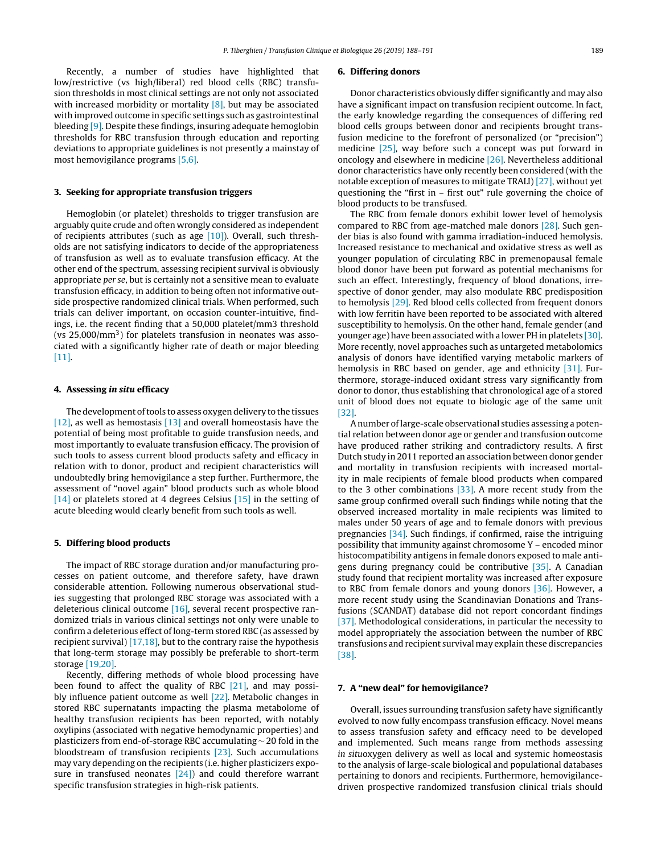Recently, a number of studies have highlighted that low/restrictive (vs high/liberal) red blood cells (RBC) transfusion thresholds in most clinical settings are not only not associated with increased morbidity or mortality  $[8]$ , but may be associated with improved outcome in specific settings such as gastrointestinal bleeding [\[9\].](#page-2-0) Despite these findings, insuring adequate hemoglobin thresholds for RBC transfusion through education and reporting deviations to appropriate guidelines is not presently a mainstay of most hemovigilance programs [\[5,6\].](#page-2-0)

#### **3. Seeking for appropriate transfusion triggers**

Hemoglobin (or platelet) thresholds to trigger transfusion are arguably quite crude and often wrongly considered as independent of recipients attributes (such as age [\[10\]\).](#page-2-0) Overall, such thresholds are not satisfying indicators to decide of the appropriateness of transfusion as well as to evaluate transfusion efficacy. At the other end of the spectrum, assessing recipient survival is obviously appropriate per se, but is certainly not a sensitive mean to evaluate transfusion efficacy, in addition to being often not informative outside prospective randomized clinical trials. When performed, such trials can deliver important, on occasion counter-intuitive, findings, i.e. the recent finding that a 50,000 platelet/mm3 threshold (vs  $25,000/\text{mm}^3$ ) for platelets transfusion in neonates was associated with a significantly higher rate of death or major bleeding [\[11\].](#page-2-0)

#### **4. Assessing in situ efficacy**

The development of tools to assess oxygen delivery to the tissues [\[12\],](#page-2-0) as well as hemostasis [\[13\]](#page-2-0) and overall homeostasis have the potential of being most profitable to guide transfusion needs, and most importantly to evaluate transfusion efficacy. The provision of such tools to assess current blood products safety and efficacy in relation with to donor, product and recipient characteristics will undoubtedly bring hemovigilance a step further. Furthermore, the assessment of "novel again" blood products such as whole blood [\[14\]](#page-2-0) or platelets stored at 4 degrees Celsius [\[15\]](#page-2-0) in the setting of acute bleeding would clearly benefit from such tools as well.

#### **5. Differing blood products**

The impact of RBC storage duration and/or manufacturing processes on patient outcome, and therefore safety, have drawn considerable attention. Following numerous observational studies suggesting that prolonged RBC storage was associated with a deleterious clinical outcome [\[16\],](#page-2-0) several recent prospective randomized trials in various clinical settings not only were unable to confirm a deleterious effect of long-term stored RBC (as assessed by recipient survival)  $[17,18]$ , but to the contrary raise the hypothesis that long-term storage may possibly be preferable to short-term storage [\[19,20\].](#page-2-0)

Recently, differing methods of whole blood processing have been found to affect the quality of RBC [\[21\],](#page-2-0) and may possibly influence patient outcome as well [\[22\].](#page-2-0) Metabolic changes in stored RBC supernatants impacting the plasma metabolome of healthy transfusion recipients has been reported, with notably oxylipins (associated with negative hemodynamic properties) and plasticizers from end-of-storage RBC accumulating ∼ 20 fold in the bloodstream of transfusion recipients [\[23\].](#page-2-0) Such accumulations may vary depending on the recipients (i.e. higher plasticizers expo-sure in transfused neonates [\[24\]\)](#page-2-0) and could therefore warrant specific transfusion strategies in high-risk patients.

#### **6. Differing donors**

Donor characteristics obviously differ significantly and may also have a significant impact on transfusion recipient outcome. In fact, the early knowledge regarding the consequences of differing red blood cells groups between donor and recipients brought transfusion medicine to the forefront of personalized (or "precision") medicine [\[25\],](#page-2-0) way before such a concept was put forward in oncology and elsewhere in medicine [\[26\].](#page-2-0) Nevertheless additional donor characteristics have only recently been considered (with the notable exception of measures to mitigate TRALI) [\[27\],](#page-2-0) without yet questioning the "first in – first out" rule governing the choice of blood products to be transfused.

The RBC from female donors exhibit lower level of hemolysis compared to RBC from age-matched male donors [\[28\].](#page-2-0) Such gender bias is also found with gamma irradiation-induced hemolysis. Increased resistance to mechanical and oxidative stress as well as younger population of circulating RBC in premenopausal female blood donor have been put forward as potential mechanisms for such an effect. Interestingly, frequency of blood donations, irrespective of donor gender, may also modulate RBC predisposition to hemolysis [\[29\].](#page-2-0) Red blood cells collected from frequent donors with low ferritin have been reported to be associated with altered susceptibility to hemolysis. On the other hand, female gender (and younger age) have been associated with a lower PH in platelets [\[30\].](#page-2-0) More recently, novel approaches such as untargeted metabolomics analysis of donors have identified varying metabolic markers of hemolysis in RBC based on gender, age and ethnicity [\[31\].](#page-2-0) Furthermore, storage-induced oxidant stress vary significantly from donor to donor, thus establishing that chronological age of a stored unit of blood does not equate to biologic age of the same unit [\[32\].](#page-2-0)

Anumber oflarge-scale observational studies assessing a potential relation between donor age or gender and transfusion outcome have produced rather striking and contradictory results. A first Dutch study in 2011 reported an association between donor gender and mortality in transfusion recipients with increased mortality in male recipients of female blood products when compared to the 3 other combinations [\[33\].](#page-2-0) A more recent study from the same group confirmed overall such findings while noting that the observed increased mortality in male recipients was limited to males under 50 years of age and to female donors with previous pregnancies [\[34\].](#page-2-0) Such findings, if confirmed, raise the intriguing possibility that immunity against chromosome Y – encoded minor histocompatibility antigens in female donors exposed to male antigens during pregnancy could be contributive [\[35\].](#page-2-0) A Canadian study found that recipient mortality was increased after exposure to RBC from female donors and young donors [\[36\].](#page-3-0) However, a more recent study using the Scandinavian Donations and Transfusions (SCANDAT) database did not report concordant findings [\[37\].](#page-3-0) Methodological considerations, in particular the necessity to model appropriately the association between the number of RBC transfusions and recipient survival may explain these discrepancies [\[38\].](#page-3-0)

#### **7. A "new deal" for hemovigilance?**

Overall, issues surrounding transfusion safety have significantly evolved to now fully encompass transfusion efficacy. Novel means to assess transfusion safety and efficacy need to be developed and implemented. Such means range from methods assessing in situoxygen delivery as well as local and systemic homeostasis to the analysis of large-scale biological and populational databases pertaining to donors and recipients. Furthermore, hemovigilancedriven prospective randomized transfusion clinical trials should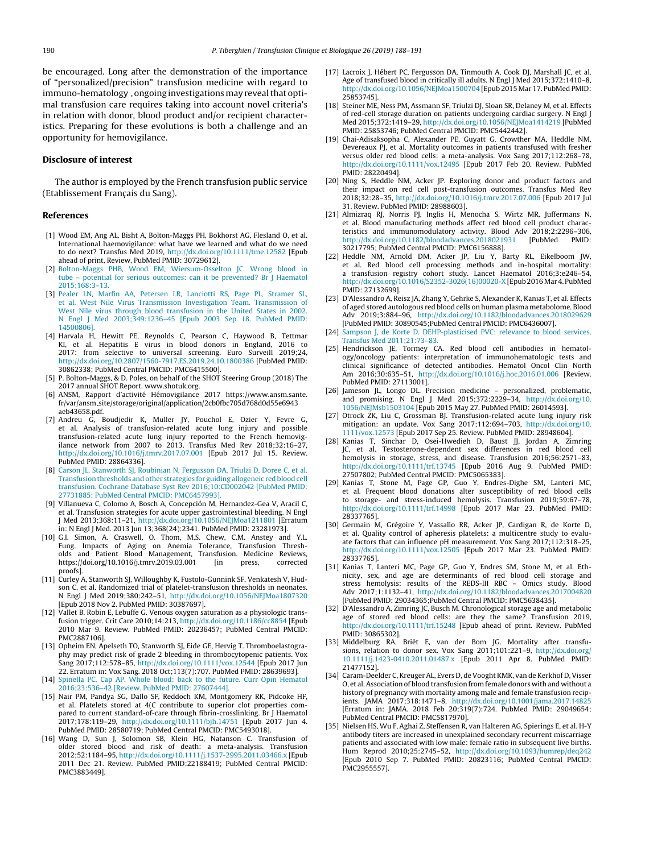<span id="page-2-0"></span>be encouraged. Long after the demonstration of the importance of "personalized/precision" transfusion medicine with regard to immuno-hematology, ongoing investigations may reveal that optimal transfusion care requires taking into account novel criteria's in relation with donor, blood product and/or recipient characteristics. Preparing for these evolutions is both a challenge and an opportunity for hemovigilance.

#### **Disclosure of interest**

The author is employed by the French transfusion public service (Etablissement Francais du Sang).

#### **References**

- [1] Wood EM, Ang AL, Bisht A, Bolton-Maggs PH, Bokhorst AG, Flesland O, et al. International haemovigilance: what have we learned and what do we need to do next? Transfus Med 2019, [http://dx.doi.org/10.1111/tme.12582](dx.doi.org/10.1111/tme.12582) [Epub ahead of print, Review, PubMed PMID: 30729612].
- [2] [Bolton-Maggs](http://refhub.elsevier.com/S1246-7820(19)30058-8/sbref0200) [PHB,](http://refhub.elsevier.com/S1246-7820(19)30058-8/sbref0200) [Wood](http://refhub.elsevier.com/S1246-7820(19)30058-8/sbref0200) [EM,](http://refhub.elsevier.com/S1246-7820(19)30058-8/sbref0200) [Wiersum-Osselton](http://refhub.elsevier.com/S1246-7820(19)30058-8/sbref0200) [JC.](http://refhub.elsevier.com/S1246-7820(19)30058-8/sbref0200) [Wrong](http://refhub.elsevier.com/S1246-7820(19)30058-8/sbref0200) [blood](http://refhub.elsevier.com/S1246-7820(19)30058-8/sbref0200) [in](http://refhub.elsevier.com/S1246-7820(19)30058-8/sbref0200) [tube](http://refhub.elsevier.com/S1246-7820(19)30058-8/sbref0200) – [potential](http://refhub.elsevier.com/S1246-7820(19)30058-8/sbref0200) [for](http://refhub.elsevier.com/S1246-7820(19)30058-8/sbref0200) [serious](http://refhub.elsevier.com/S1246-7820(19)30058-8/sbref0200) [outcomes:](http://refhub.elsevier.com/S1246-7820(19)30058-8/sbref0200) [can](http://refhub.elsevier.com/S1246-7820(19)30058-8/sbref0200) [it](http://refhub.elsevier.com/S1246-7820(19)30058-8/sbref0200) [be](http://refhub.elsevier.com/S1246-7820(19)30058-8/sbref0200) [prevented?](http://refhub.elsevier.com/S1246-7820(19)30058-8/sbref0200) [Br](http://refhub.elsevier.com/S1246-7820(19)30058-8/sbref0200) [J](http://refhub.elsevier.com/S1246-7820(19)30058-8/sbref0200) [Haematol](http://refhub.elsevier.com/S1246-7820(19)30058-8/sbref0200)  $2015:168:3-13$
- [3] [Pealer](http://refhub.elsevier.com/S1246-7820(19)30058-8/sbref0205) [LN,](http://refhub.elsevier.com/S1246-7820(19)30058-8/sbref0205) [Marfin](http://refhub.elsevier.com/S1246-7820(19)30058-8/sbref0205) [AA,](http://refhub.elsevier.com/S1246-7820(19)30058-8/sbref0205) [Petersen](http://refhub.elsevier.com/S1246-7820(19)30058-8/sbref0205) [LR,](http://refhub.elsevier.com/S1246-7820(19)30058-8/sbref0205) [Lanciotti](http://refhub.elsevier.com/S1246-7820(19)30058-8/sbref0205) [RS,](http://refhub.elsevier.com/S1246-7820(19)30058-8/sbref0205) [Page](http://refhub.elsevier.com/S1246-7820(19)30058-8/sbref0205) [PL,](http://refhub.elsevier.com/S1246-7820(19)30058-8/sbref0205) [Stramer](http://refhub.elsevier.com/S1246-7820(19)30058-8/sbref0205) [SL,](http://refhub.elsevier.com/S1246-7820(19)30058-8/sbref0205) [et](http://refhub.elsevier.com/S1246-7820(19)30058-8/sbref0205) [al.](http://refhub.elsevier.com/S1246-7820(19)30058-8/sbref0205) [West](http://refhub.elsevier.com/S1246-7820(19)30058-8/sbref0205) [Nile](http://refhub.elsevier.com/S1246-7820(19)30058-8/sbref0205) [Virus](http://refhub.elsevier.com/S1246-7820(19)30058-8/sbref0205) [Transmission](http://refhub.elsevier.com/S1246-7820(19)30058-8/sbref0205) [Investigation](http://refhub.elsevier.com/S1246-7820(19)30058-8/sbref0205) [Team.](http://refhub.elsevier.com/S1246-7820(19)30058-8/sbref0205) [Transmission](http://refhub.elsevier.com/S1246-7820(19)30058-8/sbref0205) [of](http://refhub.elsevier.com/S1246-7820(19)30058-8/sbref0205) [West](http://refhub.elsevier.com/S1246-7820(19)30058-8/sbref0205) [Nile](http://refhub.elsevier.com/S1246-7820(19)30058-8/sbref0205) [virus](http://refhub.elsevier.com/S1246-7820(19)30058-8/sbref0205) [through](http://refhub.elsevier.com/S1246-7820(19)30058-8/sbref0205) [blood](http://refhub.elsevier.com/S1246-7820(19)30058-8/sbref0205) [transfusion](http://refhub.elsevier.com/S1246-7820(19)30058-8/sbref0205) [in](http://refhub.elsevier.com/S1246-7820(19)30058-8/sbref0205) [the](http://refhub.elsevier.com/S1246-7820(19)30058-8/sbref0205) [United](http://refhub.elsevier.com/S1246-7820(19)30058-8/sbref0205) [States](http://refhub.elsevier.com/S1246-7820(19)30058-8/sbref0205) [in](http://refhub.elsevier.com/S1246-7820(19)30058-8/sbref0205) [2002.](http://refhub.elsevier.com/S1246-7820(19)30058-8/sbref0205) [N](http://refhub.elsevier.com/S1246-7820(19)30058-8/sbref0205) [Engl](http://refhub.elsevier.com/S1246-7820(19)30058-8/sbref0205) [J](http://refhub.elsevier.com/S1246-7820(19)30058-8/sbref0205) [Med](http://refhub.elsevier.com/S1246-7820(19)30058-8/sbref0205) [2003;349:1236–45](http://refhub.elsevier.com/S1246-7820(19)30058-8/sbref0205) [\[Epub](http://refhub.elsevier.com/S1246-7820(19)30058-8/sbref0205) [2003](http://refhub.elsevier.com/S1246-7820(19)30058-8/sbref0205) [Sep](http://refhub.elsevier.com/S1246-7820(19)30058-8/sbref0205) [18.](http://refhub.elsevier.com/S1246-7820(19)30058-8/sbref0205) [PubMed](http://refhub.elsevier.com/S1246-7820(19)30058-8/sbref0205) [PMID:](http://refhub.elsevier.com/S1246-7820(19)30058-8/sbref0205) [14500806\].](http://refhub.elsevier.com/S1246-7820(19)30058-8/sbref0205)
- [4] Harvala H, Hewitt PE, Reynolds C, Pearson C, Haywood B, Tettmar KI, et al. Hepatitis E virus in blood donors in England, 2016 to 2017: from selective to universal screening. Euro Surveill 2019;24, [http://dx.doi.org/10.2807/1560-7917.ES.2019.24.10.1800386](dx.doi.org/10.2807/1560-7917.ES.2019.24.10.1800386) [PubMed PMID: 30862338; PubMed Central PMCID: PMC6415500].
- [5] P. Bolton-Maggs, & D. Poles, on behalf of the SHOT Steering Group (2018) The 2017 annual SHOT Report. www.shotuk.org.
- [6] ANSM, Rapport d'activité Hémovigilance 2017 https://www.ansm.sante. fr/var/ansm site/storage/original/application/2cb0fbc705d768d0d55e6943 aeb43658.pdf.
- [7] Andreu G, Boudjedir K, Muller JY, Pouchol E, Ozier Y, Fevre G, et al. Analysis of transfusion-related acute lung injury and possible transfusion-related acute lung injury reported to the French hemovig-ilance network from 2007 to 2013. Transfus Med Rev 2018;32:16–27, [http://dx.doi.org/10.1016/j.tmrv.2017.07.001](dx.doi.org/10.1016/j.tmrv.2017.07.001) [Epub 2017 Jul 15. Review. PubMed PMID: 28864336].
- [8] [Carson](http://refhub.elsevier.com/S1246-7820(19)30058-8/sbref0230) [JL,](http://refhub.elsevier.com/S1246-7820(19)30058-8/sbref0230) [Stanworth](http://refhub.elsevier.com/S1246-7820(19)30058-8/sbref0230) [SJ,](http://refhub.elsevier.com/S1246-7820(19)30058-8/sbref0230) [Roubinian](http://refhub.elsevier.com/S1246-7820(19)30058-8/sbref0230) [N,](http://refhub.elsevier.com/S1246-7820(19)30058-8/sbref0230) [Fergusson](http://refhub.elsevier.com/S1246-7820(19)30058-8/sbref0230) [DA,](http://refhub.elsevier.com/S1246-7820(19)30058-8/sbref0230) [Triulzi](http://refhub.elsevier.com/S1246-7820(19)30058-8/sbref0230) [D,](http://refhub.elsevier.com/S1246-7820(19)30058-8/sbref0230) [Doree](http://refhub.elsevier.com/S1246-7820(19)30058-8/sbref0230) [C,](http://refhub.elsevier.com/S1246-7820(19)30058-8/sbref0230) [et](http://refhub.elsevier.com/S1246-7820(19)30058-8/sbref0230) [al.](http://refhub.elsevier.com/S1246-7820(19)30058-8/sbref0230) [Transfusion](http://refhub.elsevier.com/S1246-7820(19)30058-8/sbref0230) [thresholds](http://refhub.elsevier.com/S1246-7820(19)30058-8/sbref0230) [and](http://refhub.elsevier.com/S1246-7820(19)30058-8/sbref0230) [other](http://refhub.elsevier.com/S1246-7820(19)30058-8/sbref0230) [strategies](http://refhub.elsevier.com/S1246-7820(19)30058-8/sbref0230) [for](http://refhub.elsevier.com/S1246-7820(19)30058-8/sbref0230) [guiding](http://refhub.elsevier.com/S1246-7820(19)30058-8/sbref0230) [allogeneic](http://refhub.elsevier.com/S1246-7820(19)30058-8/sbref0230) [red](http://refhub.elsevier.com/S1246-7820(19)30058-8/sbref0230) [blood](http://refhub.elsevier.com/S1246-7820(19)30058-8/sbref0230) [cell](http://refhub.elsevier.com/S1246-7820(19)30058-8/sbref0230) [transfusion.](http://refhub.elsevier.com/S1246-7820(19)30058-8/sbref0230) [Cochrane](http://refhub.elsevier.com/S1246-7820(19)30058-8/sbref0230) [Database](http://refhub.elsevier.com/S1246-7820(19)30058-8/sbref0230) [Syst](http://refhub.elsevier.com/S1246-7820(19)30058-8/sbref0230) [Rev](http://refhub.elsevier.com/S1246-7820(19)30058-8/sbref0230) [2016;10:CD002042](http://refhub.elsevier.com/S1246-7820(19)30058-8/sbref0230) [\[PubMed](http://refhub.elsevier.com/S1246-7820(19)30058-8/sbref0230) [PMID:](http://refhub.elsevier.com/S1246-7820(19)30058-8/sbref0230) [27731885;](http://refhub.elsevier.com/S1246-7820(19)30058-8/sbref0230) [PubMed](http://refhub.elsevier.com/S1246-7820(19)30058-8/sbref0230) [Central](http://refhub.elsevier.com/S1246-7820(19)30058-8/sbref0230) [PMCID:](http://refhub.elsevier.com/S1246-7820(19)30058-8/sbref0230) [PMC6457993\].](http://refhub.elsevier.com/S1246-7820(19)30058-8/sbref0230)
- [9] Villanueva C, Colomo A, Bosch A, Concepción M, Hernandez-Gea V, Aracil C, et al. Transfusion strategies for acute upper gastrointestinal bleeding. N Engl J Med 2013;368:11–21, [http://dx.doi.org/10.1056/NEJMoa1211801](dx.doi.org/10.1056/NEJMoa1211801) [Erratum in: N Engl J Med. 2013 Jun 13;368(24):2341. PubMed PMID: 23281973].
- [10] G.I. Simon, A. Craswell, O. Thom, M.S. Chew, C.M. Anstey and Y.L. Fung. Impacts of Aging on Anemia Tolerance, Transfusion Thresholds and Patient Blood Management, Transfusion. Medicine Reviews, https://doi.org/10.1016/j.tmrv.2019.03.001 [in press, corrected proofs].
- [11] Curley A, Stanworth SJ, Willoughby K, Fustolo-Gunnink SF, Venkatesh V, Hudson C, et al. Randomized trial of platelet-transfusion thresholds in neonates. N Engl J Med 2019;380:242–51, [http://dx.doi.org/10.1056/NEJMoa1807320](dx.doi.org/10.1056/NEJMoa1807320) [Epub 2018 Nov 2. PubMed PMID: 30387697].
- [12] Vallet B, Robin E, Lebuffe G. Venous oxygen saturation as a physiologic transfusion trigger. Crit Care 2010;14:213, [http://dx.doi.org/10.1186/cc8854](dx.doi.org/10.1186/cc8854) [Epub 2010 Mar 9. Review. PubMed PMID: 20236457; PubMed Central PMCID: PMC2887106].
- [13] Opheim EN, Apelseth TO, Stanworth SJ, Eide GE, Hervig T. Thromboelastography may predict risk of grade 2 bleeding in thrombocytopenic patients. Vox Sang 2017;112:578–85, [http://dx.doi.org/10.1111/vox.12544](dx.doi.org/10.1111/vox.12544) [Epub 2017 Jun 22. Erratum in: Vox Sang. 2018 Oct;113(7):707. PubMed PMID: 28639693].
- [14] [Spinella](http://refhub.elsevier.com/S1246-7820(19)30058-8/sbref0260) [PC,](http://refhub.elsevier.com/S1246-7820(19)30058-8/sbref0260) [Cap](http://refhub.elsevier.com/S1246-7820(19)30058-8/sbref0260) [AP.](http://refhub.elsevier.com/S1246-7820(19)30058-8/sbref0260) [Whole](http://refhub.elsevier.com/S1246-7820(19)30058-8/sbref0260) [blood:](http://refhub.elsevier.com/S1246-7820(19)30058-8/sbref0260) [back](http://refhub.elsevier.com/S1246-7820(19)30058-8/sbref0260) [to](http://refhub.elsevier.com/S1246-7820(19)30058-8/sbref0260) [the](http://refhub.elsevier.com/S1246-7820(19)30058-8/sbref0260) [future.](http://refhub.elsevier.com/S1246-7820(19)30058-8/sbref0260) [Curr](http://refhub.elsevier.com/S1246-7820(19)30058-8/sbref0260) [Opin](http://refhub.elsevier.com/S1246-7820(19)30058-8/sbref0260) [Hematol](http://refhub.elsevier.com/S1246-7820(19)30058-8/sbref0260) [2016;23:536–42](http://refhub.elsevier.com/S1246-7820(19)30058-8/sbref0260) [\[Review.](http://refhub.elsevier.com/S1246-7820(19)30058-8/sbref0260) [PubMed](http://refhub.elsevier.com/S1246-7820(19)30058-8/sbref0260) [PMID:](http://refhub.elsevier.com/S1246-7820(19)30058-8/sbref0260) [27607444\].](http://refhub.elsevier.com/S1246-7820(19)30058-8/sbref0260)
- [15] Nair PM, Pandya SG, Dallo SF, Reddoch KM, Montgomery RK, Pidcoke HF, et al. Platelets stored at 4(C contribute to superior clot properties compared to current standard-of-care through fibrin-crosslinking. Br J Haematol 2017;178:119–29, [http://dx.doi.org/10.1111/bjh.14751](dx.doi.org/10.1111/bjh.14751) [Epub 2017 Jun 4. PubMed PMID: 28580719; PubMed Central PMCID: PMC5493018].
- [16] Wang D, Sun J, Solomon SB, Klein HG, Natanson C. Transfusion of older stored blood and risk of death: a meta-analysis. Transfusion 2012;52:1184–95, [http://dx.doi.org/10.1111/j.1537-2995.2011.03466.x](dx.doi.org/10.1111/j.1537-2995.2011.03466.x) [Epub 2011 Dec 21. Review. PubMed PMID:22188419; PubMed Central PMCID: PMC3883449].
- [17] Lacroix J, Hébert PC, Fergusson DA, Tinmouth A, Cook DJ, Marshall JC, et al. Age of transfused blood in critically ill adults. N Engl J Med 2015;372:1410–8, [http://dx.doi.org/10.1056/NEJMoa1500704](dx.doi.org/10.1056/NEJMoa1500704) [Epub 2015 Mar 17. PubMed PMID: 25853745].
- [18] Steiner ME, Ness PM, Assmann SF, Triulzi DJ, Sloan SR, Delaney M, et al. Effects of red-cell storage duration on patients undergoing cardiac surgery. N Engl J Med 2015;372:1419–29, [http://dx.doi.org/10.1056/NEJMoa1414219](dx.doi.org/10.1056/NEJMoa1414219) [PubMed PMID: 25853746; PubMed Central PMCID: PMC5442442].
- [19] Chai-Adisaksopha C, Alexander PE, Guyatt G, Crowther MA, Heddle NM, Devereaux PJ, et al. Mortality outcomes in patients transfused with fresher versus older red blood cells: a meta-analysis. Vox Sang 2017;112:268–78, [http://dx.doi.org/10.1111/vox.12495](dx.doi.org/10.1111/vox.12495) [Epub 2017 Feb 20. Review. PubMed PMID: 28220494].
- [20] Ning S, Heddle NM, Acker JP. Exploring donor and product factors and their impact on red cell post-transfusion outcomes. Transfus Med Rev 2018;32:28–35, [http://dx.doi.org/10.1016/j.tmrv.2017.07.006](dx.doi.org/10.1016/j.tmrv.2017.07.006) [Epub 2017 Jul 31. Review. PubMed PMID: 28988603].
- [21] Almizraq RJ, Norris PJ, Inglis H, Menocha S, Wirtz MR, Juffermans N, et al. Blood manufacturing methods affect red blood cell product characteristics and immunomodulatory activity. Blood Adv 2018;2:2296–306, [http://dx.doi.org/10.1182/bloodadvances.2018021931](dx.doi.org/10.1182/bloodadvances.2018021931) [PubMed PMID: 30217795; PubMed Central PMCID: PMC6156888].
- [22] Heddle NM, Arnold DM, Acker JP, Liu Y, Barty RL, Eikelboom JW, et al. Red blood cell processing methods and in-hospital mortality: a transfusion registry cohort study. Lancet Haematol 2016;3:e246–54, [http://dx.doi.org/10.1016/S2352-3026\(16\)00020-X](dx.doi.org/10.1016/S2352-3026(16)00020-X)[Epub 2016Mar 4. PubMed PMID: 27132699].
- [23] D'Alessandro A, Reisz JA, Zhang Y, Gehrke S, Alexander K, Kanias T, et al. Effects of aged stored autologous red blood cells on human plasma metabolome. Blood Adv 2019;3:884–96, [http://dx.doi.org/10.1182/bloodadvances.2018029629](dx.doi.org/10.1182/bloodadvances.2018029629) [PubMed PMID: 30890545;PubMed Central PMCID: PMC6436007].
- [24] [Sampson](http://refhub.elsevier.com/S1246-7820(19)30058-8/sbref0310) [J,](http://refhub.elsevier.com/S1246-7820(19)30058-8/sbref0310) [de](http://refhub.elsevier.com/S1246-7820(19)30058-8/sbref0310) [Korte](http://refhub.elsevier.com/S1246-7820(19)30058-8/sbref0310) [D.](http://refhub.elsevier.com/S1246-7820(19)30058-8/sbref0310) [DEHP-plasticised](http://refhub.elsevier.com/S1246-7820(19)30058-8/sbref0310) [PVC:](http://refhub.elsevier.com/S1246-7820(19)30058-8/sbref0310) [relevance](http://refhub.elsevier.com/S1246-7820(19)30058-8/sbref0310) [to](http://refhub.elsevier.com/S1246-7820(19)30058-8/sbref0310) [blood](http://refhub.elsevier.com/S1246-7820(19)30058-8/sbref0310) [services.](http://refhub.elsevier.com/S1246-7820(19)30058-8/sbref0310) [Transfus](http://refhub.elsevier.com/S1246-7820(19)30058-8/sbref0310) [Med](http://refhub.elsevier.com/S1246-7820(19)30058-8/sbref0310) [2011;21:73](http://refhub.elsevier.com/S1246-7820(19)30058-8/sbref0310)–[83.](http://refhub.elsevier.com/S1246-7820(19)30058-8/sbref0310)
- [25] Hendrickson JE, Tormey CA. Red blood cell antibodies in hematology/oncology patients: interpretation of immunohematologic tests and clinical significance of detected antibodies. Hematol Oncol Clin North Am 2016;30:635–51, [http://dx.doi.org/10.1016/j.hoc.2016.01.006](dx.doi.org/10.1016/j.hoc.2016.01.006) [Review. PubMed PMID: 27113001].
- [26] Jameson JL, Longo DL, Precision medicine personalized, problematic, and promising. N Engl J Med 2015;372:2229-34, [http://dx.doi.org/10.](dx.doi.org/10.1056/NEJMsb1503104) [1056/NEJMsb1503104](dx.doi.org/10.1056/NEJMsb1503104) [Epub 2015 May 27. PubMed PMID: 26014593].
- [27] Otrock ZK, Liu C, Grossman BJ. Transfusion-related acute lung injury risk mitigation: an update. Vox Sang 2017;112:694–703, [http://dx.doi.org/10.](dx.doi.org/10.1111/vox.12573) [1111/vox.12573](dx.doi.org/10.1111/vox.12573) [Epub 2017 Sep 25. Review. PubMed PMID: 28948604].
- [28] Kanias T, Sinchar D, Osei-Hwedieh D, Baust JJ, Jordan A, Zimring JC, et al. Testosterone-dependent sex differences in red blood cell hemolysis in storage, stress, and disease. Transfusion 2016;56:2571–83, [http://dx.doi.org/10.1111/trf.13745](dx.doi.org/10.1111/trf.13745) [Epub 2016 Aug 9. PubMed PMID: 27507802; PubMed Central PMCID: PMC5065383].
- [29] Kanias T, Stone M, Page GP, Guo Y, Endres-Dighe SM, Lanteri MC, et al. Frequent blood donations alter susceptibility of red blood cells to storage- and stress-induced hemolysis. Transfusion 2019;59:67–78, [http://dx.doi.org/10.1111/trf.14998](dx.doi.org/10.1111/trf.14998) [Epub 2017 Mar 23. PubMed PMID: 28337765].
- [30] Germain M, Grégoire Y, Vassallo RR, Acker JP, Cardigan R, de Korte D, et al. Quality control of apheresis platelets: a multicentre study to evaluate factors that can influence pH measurement. Vox Sang 2017;112:318–25, [http://dx.doi.org/10.1111/vox.12505](dx.doi.org/10.1111/vox.12505) [Epub 2017 Mar 23. PubMed PMID: 28337765].
- [31] Kanias T, Lanteri MC, Page GP, Guo Y, Endres SM, Stone M, et al. Ethnicity, sex, and age are determinants of red blood cell storage and stress hemolysis: results of the REDS-III RBC – Omics study. Blood Adv 2017;1:1132–41, [http://dx.doi.org/10.1182/bloodadvances.2017004820](dx.doi.org/10.1182/bloodadvances.2017004820) [PubMed PMID: 29034365;PubMed Central PMCID: PMC5638435].
- [32] D'Alessandro A, Zimring JC, Busch M. Chronological storage age and metabolic age of stored red blood cells: are they the same? Transfusion 2019, [http://dx.doi.org/10.1111/trf.15248](dx.doi.org/10.1111/trf.15248) [Epub ahead of print. Review. PubMed PMID: 30865302].
- [33] Middelburg RA, Briët E, van der Bom JG. Mortality after transfusions, relation to donor sex. Vox Sang 2011;101:221–9, [http://dx.doi.org/](dx.doi.org/10.1111/j.1423-0410.2011.01487.x) [10.1111/j.1423-0410.2011.01487.x](dx.doi.org/10.1111/j.1423-0410.2011.01487.x) [Epub 2011 Apr 8. PubMed PMID: 21477152].
- [34] Caram-Deelder C, Kreuger AL, Evers D, de Vooght KMK, van de Kerkhof D, Visser O, et al. Association of blood transfusion from female donors with and without a history of pregnancy with mortality among male and female transfusion recipients. JAMA 2017;318:1471–8, [http://dx.doi.org/10.1001/jama.2017.14825](dx.doi.org/10.1001/jama.2017.14825) [Erratum in: JAMA. 2018 Feb 20;319(7):724. PubMed PMID: 29049654; PubMed Central PMCID: PMC5817970].
- [35] Nielsen HS, Wu F, Aghai Z, Steffensen R, van Halteren AG, Spierings E, et al. H-Y antibody titers are increased in unexplained secondary recurrent miscarriage patients and associated with low male: female ratio in subsequent live births. Hum Reprod 2010;25:2745–52, [http://dx.doi.org/10.1093/humrep/deq242](dx.doi.org/10.1093/humrep/deq242) [Epub 2010 Sep 7. PubMed PMID: 20823116; PubMed Central PMCID: PMC2955557].